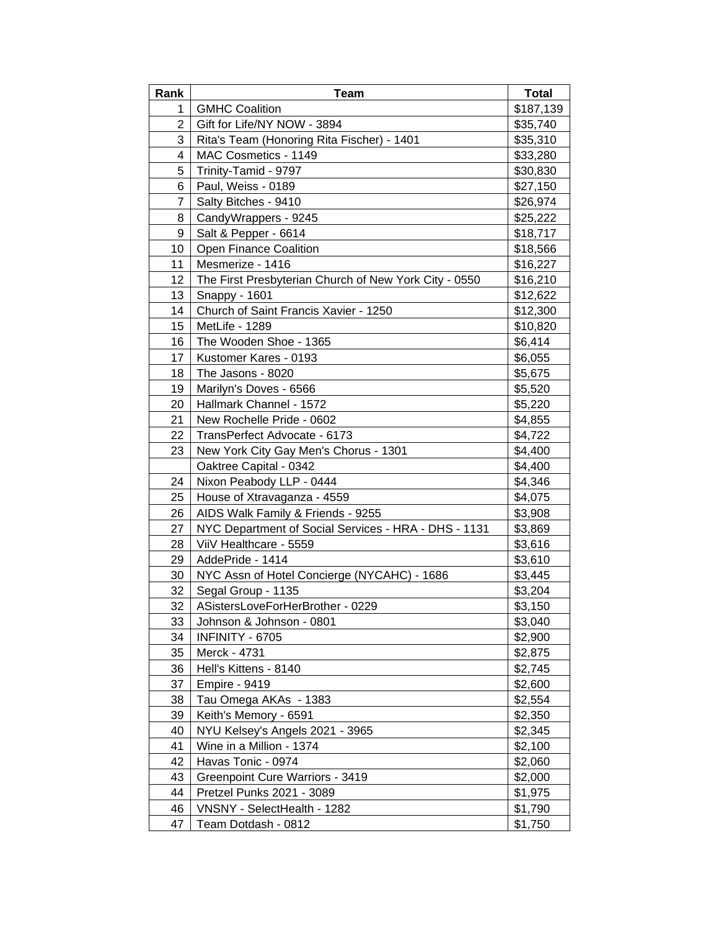| Rank           | <b>Team</b>                                           | <b>Total</b> |
|----------------|-------------------------------------------------------|--------------|
| 1              | <b>GMHC Coalition</b>                                 | \$187,139    |
| $\overline{2}$ | Gift for Life/NY NOW - 3894                           | \$35,740     |
| 3              | Rita's Team (Honoring Rita Fischer) - 1401            | \$35,310     |
| 4              | MAC Cosmetics - 1149                                  | \$33,280     |
| 5              | Trinity-Tamid - 9797                                  | \$30,830     |
| 6              | Paul, Weiss - 0189                                    | \$27,150     |
| $\overline{7}$ | Salty Bitches - 9410                                  | \$26,974     |
| 8              | CandyWrappers - 9245                                  | \$25,222     |
| 9              | Salt & Pepper - 6614                                  | \$18,717     |
| 10             | Open Finance Coalition                                | \$18,566     |
| 11             | Mesmerize - 1416                                      | \$16,227     |
| 12             | The First Presbyterian Church of New York City - 0550 | \$16,210     |
| 13             | Snappy - 1601                                         | \$12,622     |
| 14             | Church of Saint Francis Xavier - 1250                 | \$12,300     |
| 15             | MetLife - 1289                                        | \$10,820     |
| 16             | The Wooden Shoe - 1365                                | \$6,414      |
| 17             | Kustomer Kares - 0193                                 | \$6,055      |
| 18             | The Jasons - 8020                                     | \$5,675      |
| 19             | Marilyn's Doves - 6566                                | \$5,520      |
| 20             | Hallmark Channel - 1572                               | \$5,220      |
| 21             | New Rochelle Pride - 0602                             | \$4,855      |
| 22             | TransPerfect Advocate - 6173                          | \$4,722      |
| 23             | New York City Gay Men's Chorus - 1301                 | \$4,400      |
|                | Oaktree Capital - 0342                                | \$4,400      |
| 24             | Nixon Peabody LLP - 0444                              | \$4,346      |
| 25             | House of Xtravaganza - 4559                           | \$4,075      |
| 26             | AIDS Walk Family & Friends - 9255                     | \$3,908      |
| 27             | NYC Department of Social Services - HRA - DHS - 1131  | \$3,869      |
| 28             | ViiV Healthcare - 5559                                | \$3,616      |
| 29             | AddePride - 1414                                      | \$3,610      |
| 30             | NYC Assn of Hotel Concierge (NYCAHC) - 1686           | \$3,445      |
| 32             | Segal Group - 1135                                    | \$3,204      |
| 32             | ASistersLoveForHerBrother - 0229                      | \$3,150      |
| 33             | Johnson & Johnson - 0801                              | \$3,040      |
| 34             | INFINITY - 6705                                       | \$2,900      |
| 35             | Merck - 4731                                          | \$2,875      |
| 36             | Hell's Kittens - 8140                                 | \$2,745      |
| 37             | <b>Empire - 9419</b>                                  | \$2,600      |
| 38             | Tau Omega AKAs - 1383                                 | \$2,554      |
| 39             | Keith's Memory - 6591                                 | \$2,350      |
| 40             | NYU Kelsey's Angels 2021 - 3965                       | \$2,345      |
| 41             | Wine in a Million - 1374                              | \$2,100      |
| 42             | Havas Tonic - 0974                                    | \$2,060      |
| 43             | Greenpoint Cure Warriors - 3419                       | \$2,000      |
| 44             | Pretzel Punks 2021 - 3089                             | \$1,975      |
| 46             | VNSNY - SelectHealth - 1282                           | \$1,790      |
| 47             | Team Dotdash - 0812                                   | \$1,750      |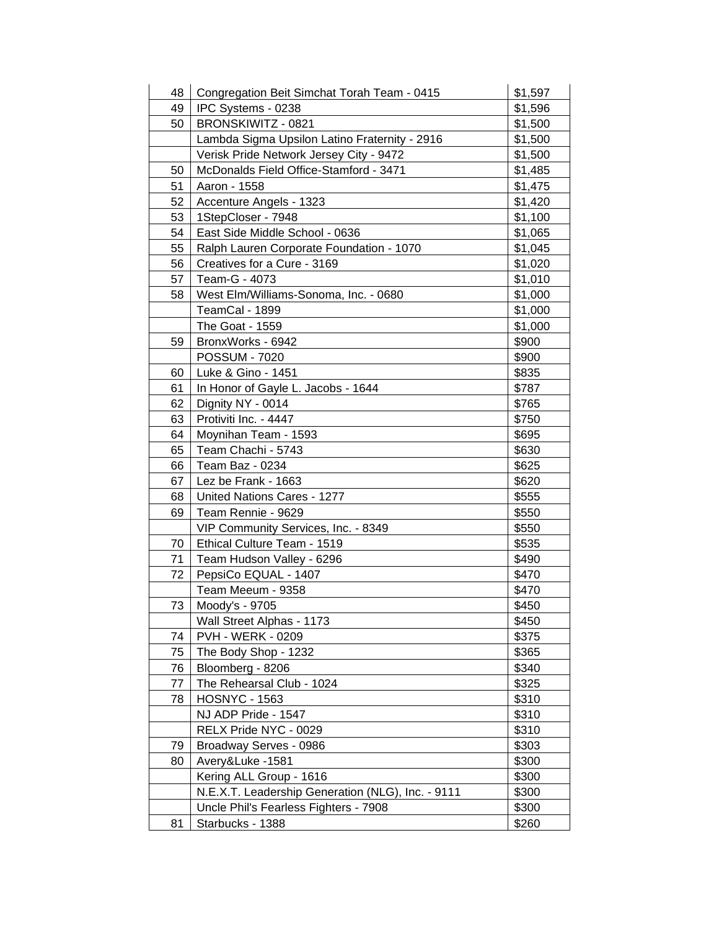| 48 | Congregation Beit Simchat Torah Team - 0415       | \$1,597 |
|----|---------------------------------------------------|---------|
| 49 | IPC Systems - 0238                                | \$1,596 |
| 50 | <b>BRONSKIWITZ - 0821</b>                         | \$1,500 |
|    | Lambda Sigma Upsilon Latino Fraternity - 2916     | \$1,500 |
|    | Verisk Pride Network Jersey City - 9472           | \$1,500 |
| 50 | McDonalds Field Office-Stamford - 3471            | \$1,485 |
| 51 | Aaron - 1558                                      | \$1,475 |
| 52 | Accenture Angels - 1323                           | \$1,420 |
| 53 | 1StepCloser - 7948                                | \$1,100 |
| 54 | East Side Middle School - 0636                    | \$1,065 |
| 55 | Ralph Lauren Corporate Foundation - 1070          | \$1,045 |
| 56 | Creatives for a Cure - 3169                       | \$1,020 |
| 57 | Team-G - 4073                                     | \$1,010 |
| 58 | West Elm/Williams-Sonoma, Inc. - 0680             | \$1,000 |
|    | TeamCal - 1899                                    | \$1,000 |
|    | The Goat - 1559                                   | \$1,000 |
| 59 | BronxWorks - 6942                                 | \$900   |
|    | <b>POSSUM - 7020</b>                              | \$900   |
| 60 | Luke & Gino - 1451                                | \$835   |
| 61 | In Honor of Gayle L. Jacobs - 1644                | \$787   |
| 62 | Dignity NY - 0014                                 | \$765   |
| 63 | Protiviti Inc. - 4447                             | \$750   |
| 64 | Moynihan Team - 1593                              | \$695   |
| 65 | Team Chachi - 5743                                | \$630   |
| 66 | Team Baz - 0234                                   | \$625   |
| 67 | Lez be Frank - 1663                               | \$620   |
| 68 | United Nations Cares - 1277                       | \$555   |
| 69 | Team Rennie - 9629                                | \$550   |
|    | VIP Community Services, Inc. - 8349               | \$550   |
| 70 | Ethical Culture Team - 1519                       | \$535   |
| 71 | Team Hudson Valley - 6296                         | \$490   |
| 72 | PepsiCo EQUAL - 1407                              | \$470   |
|    | Team Meeum - 9358                                 | \$470   |
| 73 | Moody's - 9705                                    | \$450   |
|    | Wall Street Alphas - 1173                         | \$450   |
| 74 | <b>PVH - WERK - 0209</b>                          | \$375   |
| 75 | The Body Shop - 1232                              | \$365   |
| 76 | Bloomberg - 8206                                  | \$340   |
| 77 | The Rehearsal Club - 1024                         | \$325   |
| 78 | <b>HOSNYC - 1563</b>                              | \$310   |
|    | NJ ADP Pride - 1547                               | \$310   |
|    | RELX Pride NYC - 0029                             | \$310   |
| 79 | Broadway Serves - 0986                            | \$303   |
| 80 | Avery&Luke -1581                                  | \$300   |
|    | Kering ALL Group - 1616                           | \$300   |
|    | N.E.X.T. Leadership Generation (NLG), Inc. - 9111 | \$300   |
|    | Uncle Phil's Fearless Fighters - 7908             | \$300   |
| 81 | Starbucks - 1388                                  | \$260   |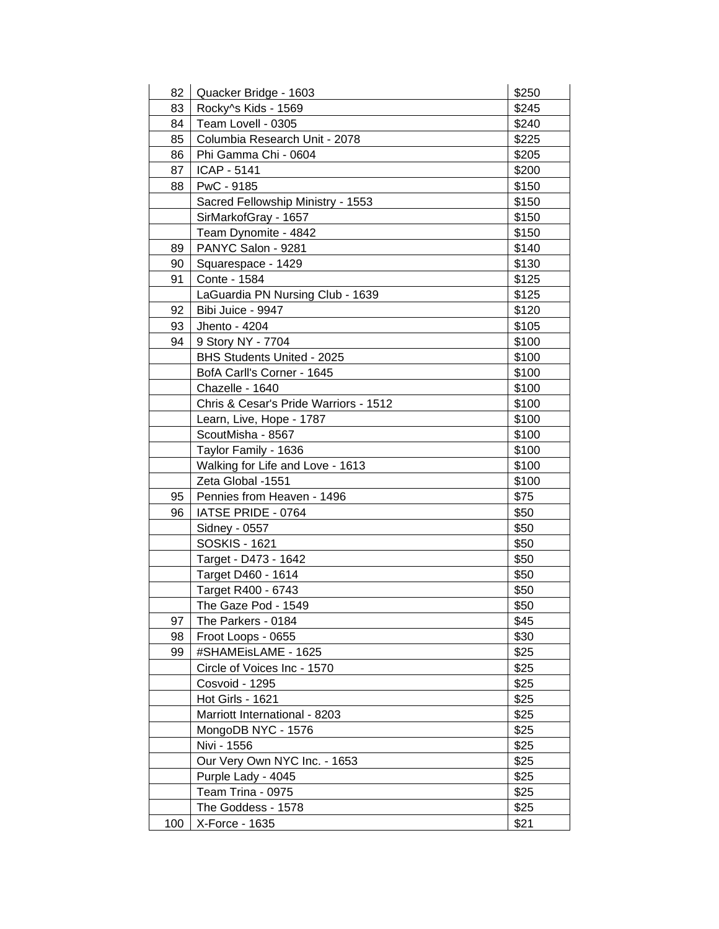| 82  | Quacker Bridge - 1603                 | \$250 |
|-----|---------------------------------------|-------|
| 83  | Rocky^s Kids - 1569                   | \$245 |
| 84  | Team Lovell - 0305                    | \$240 |
| 85  | Columbia Research Unit - 2078         | \$225 |
| 86  | Phi Gamma Chi - 0604                  | \$205 |
| 87  | ICAP - 5141                           | \$200 |
| 88  | PwC - 9185                            | \$150 |
|     | Sacred Fellowship Ministry - 1553     | \$150 |
|     | SirMarkofGray - 1657                  | \$150 |
|     | Team Dynomite - 4842                  | \$150 |
| 89  | PANYC Salon - 9281                    | \$140 |
| 90  | Squarespace - 1429                    | \$130 |
| 91  | Conte - 1584                          | \$125 |
|     | LaGuardia PN Nursing Club - 1639      | \$125 |
| 92  | Bibi Juice - 9947                     | \$120 |
| 93  | Jhento - 4204                         | \$105 |
| 94  | 9 Story NY - 7704                     | \$100 |
|     | BHS Students United - 2025            | \$100 |
|     | BofA Carll's Corner - 1645            | \$100 |
|     | Chazelle - 1640                       | \$100 |
|     | Chris & Cesar's Pride Warriors - 1512 | \$100 |
|     | Learn, Live, Hope - 1787              | \$100 |
|     | ScoutMisha - 8567                     | \$100 |
|     | Taylor Family - 1636                  | \$100 |
|     | Walking for Life and Love - 1613      | \$100 |
|     | Zeta Global -1551                     | \$100 |
| 95  | Pennies from Heaven - 1496            | \$75  |
| 96  | IATSE PRIDE - 0764                    | \$50  |
|     | Sidney - 0557                         | \$50  |
|     | <b>SOSKIS - 1621</b>                  | \$50  |
|     | Target - D473 - 1642                  | \$50  |
|     | Target D460 - 1614                    | \$50  |
|     | Target R400 - 6743                    | \$50  |
|     | The Gaze Pod - 1549                   | \$50  |
| 97  | The Parkers - 0184                    | \$45  |
| 98  | Froot Loops - 0655                    | \$30  |
| 99  | #SHAMEisLAME - 1625                   | \$25  |
|     | Circle of Voices Inc - 1570           | \$25  |
|     | Cosvoid - 1295                        | \$25  |
|     | Hot Girls - 1621                      | \$25  |
|     | Marriott International - 8203         | \$25  |
|     | MongoDB NYC - 1576                    | \$25  |
|     | Nivi - 1556                           | \$25  |
|     | Our Very Own NYC Inc. - 1653          | \$25  |
|     | Purple Lady - 4045                    | \$25  |
|     | Team Trina - 0975                     | \$25  |
|     | The Goddess - 1578                    | \$25  |
| 100 | X-Force - 1635                        | \$21  |